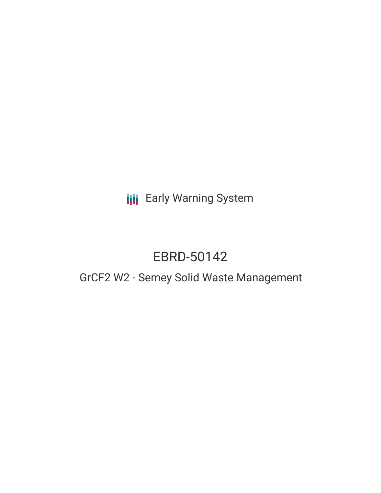**III** Early Warning System

# EBRD-50142

## GrCF2 W2 - Semey Solid Waste Management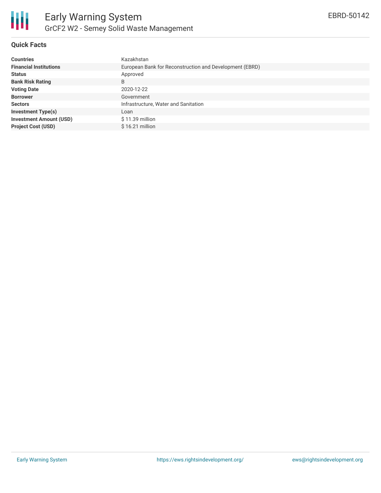

## **Quick Facts**

| <b>Countries</b>               | Kazakhstan                                              |
|--------------------------------|---------------------------------------------------------|
| <b>Financial Institutions</b>  | European Bank for Reconstruction and Development (EBRD) |
| <b>Status</b>                  | Approved                                                |
| <b>Bank Risk Rating</b>        | B                                                       |
| <b>Voting Date</b>             | 2020-12-22                                              |
| <b>Borrower</b>                | Government                                              |
| <b>Sectors</b>                 | Infrastructure, Water and Sanitation                    |
| <b>Investment Type(s)</b>      | Loan                                                    |
| <b>Investment Amount (USD)</b> | $$11.39$ million                                        |
| <b>Project Cost (USD)</b>      | $$16.21$ million                                        |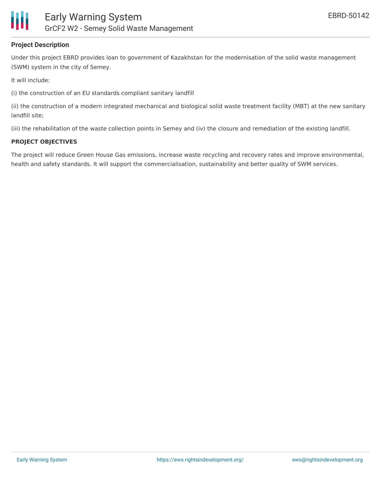

## **Project Description**

Under this project EBRD provides loan to government of Kazakhstan for the modernisation of the solid waste management (SWM) system in the city of Semey.

It will include:

(i) the construction of an EU standards compliant sanitary landfill

(ii) the construction of a modern integrated mechanical and biological solid waste treatment facility (MBT) at the new sanitary landfill site;

(iii) the rehabilitation of the waste collection points in Semey and (iv) the closure and remediation of the existing landfill.

#### **PROJECT OBJECTIVES**

The project will reduce Green House Gas emissions, increase waste recycling and recovery rates and improve environmental, health and safety standards. It will support the commercialisation, sustainability and better quality of SWM services.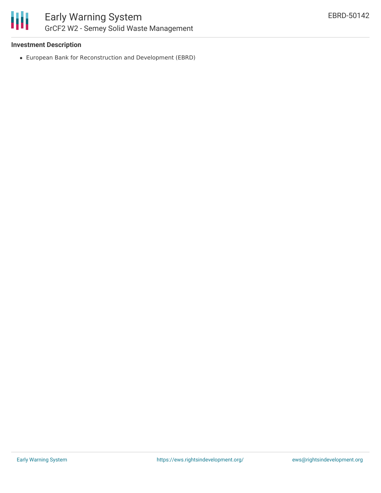

## **Investment Description**

European Bank for Reconstruction and Development (EBRD)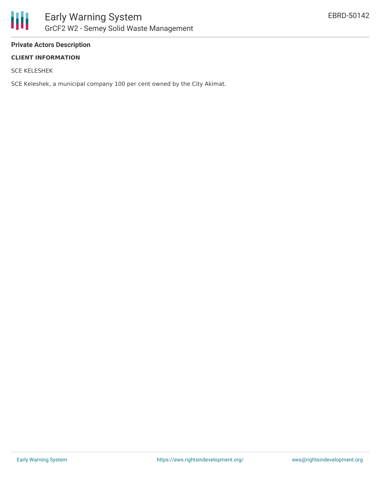

## **Private Actors Description**

## **CLIENT INFORMATION**

SCE KELESHEK

SCE Keleshek, a municipal company 100 per cent owned by the City Akimat.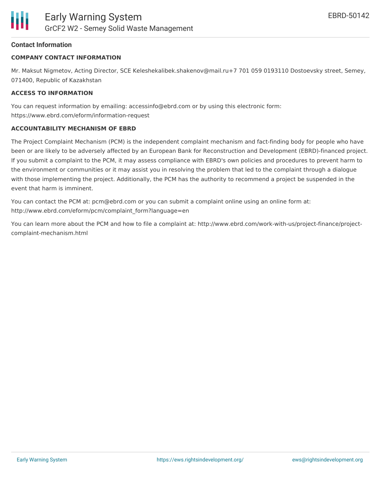## **Contact Information**

## **COMPANY CONTACT INFORMATION**

Mr. Maksut Nigmetov, Acting Director, SCE Keleshekalibek.shakenov@mail.ru+7 701 059 0193110 Dostoevsky street, Semey, 071400, Republic of Kazakhstan

## **ACCESS TO INFORMATION**

You can request information by emailing: accessinfo@ebrd.com or by using this electronic form: https://www.ebrd.com/eform/information-request

## **ACCOUNTABILITY MECHANISM OF EBRD**

The Project Complaint Mechanism (PCM) is the independent complaint mechanism and fact-finding body for people who have been or are likely to be adversely affected by an European Bank for Reconstruction and Development (EBRD)-financed project. If you submit a complaint to the PCM, it may assess compliance with EBRD's own policies and procedures to prevent harm to the environment or communities or it may assist you in resolving the problem that led to the complaint through a dialogue with those implementing the project. Additionally, the PCM has the authority to recommend a project be suspended in the event that harm is imminent.

You can contact the PCM at: pcm@ebrd.com or you can submit a complaint online using an online form at: http://www.ebrd.com/eform/pcm/complaint\_form?language=en

You can learn more about the PCM and how to file a complaint at: http://www.ebrd.com/work-with-us/project-finance/projectcomplaint-mechanism.html